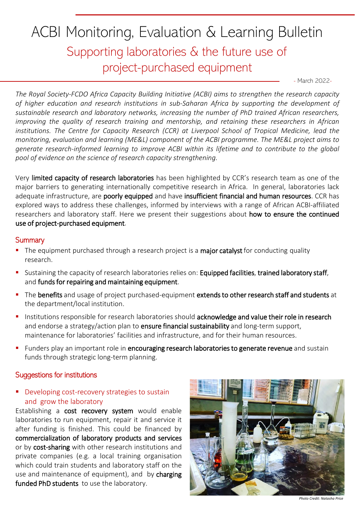# ACBI Monitoring, Evaluation & Learning Bulletin Supporting laboratories & the future use of project-purchased equipment

- March 2022-

*The Royal Society-FCDO Africa Capacity Building Initiative (ACBI) aims to strengthen the research capacity of higher education and research institutions in sub-Saharan Africa by supporting the development of sustainable research and laboratory networks, increasing the number of PhD trained African researchers, improving the quality of research training and mentorship, and retaining these researchers in African institutions. The Centre for Capacity Research (CCR) at Liverpool School of Tropical Medicine, lead the monitoring, evaluation and learning (ME&L) component of the ACBI programme. The ME&L project aims to generate research-informed learning to improve ACBI within its lifetime and to contribute to the global pool of evidence on the science of research capacity strengthening.*

Very limited capacity of research laboratories has been highlighted by CCR's research team as one of the major barriers to generating internationally competitive research in Africa. In general, laboratories lack adequate infrastructure, are poorly equipped and have insufficient financial and human resources. CCR has explored ways to address these challenges, informed by interviews with a range of African ACBI-affiliated researchers and laboratory staff. Here we present their suggestions about how to ensure the continued use of project-purchased equipment.

#### **Summary**

- The equipment purchased through a research project is a major catalyst for conducting quality research.
- Sustaining the capacity of research laboratories relies on: Equipped facilities, trained laboratory staff, and funds for repairing and maintaining equipment.
- **•** The benefits and usage of project purchased-equipment extends to other research staff and students at the department/local institution.
- **.** Institutions responsible for research laboratories should acknowledge and value their role in research and endorse a strategy/action plan to ensure financial sustainability and long-term support, maintenance for laboratories' facilities and infrastructure, and for their human resources.
- **EXT** Funders play an important role in encouraging research laboratories to generate revenue and sustain funds through strategic long-term planning.

## Suggestions for institutions

#### **•** Developing cost-recovery strategies to sustain and grow the laboratory

Establishing a cost recovery system would enable laboratories to run equipment, repair it and service it after funding is finished. This could be financed by commercialization of laboratory products and services or by cost-sharing with other research institutions and private companies (e.g. a local training organisation which could train students and laboratory staff on the use and maintenance of equipment), and by charging funded PhD students to use the laboratory.



*Photo Credit: Natasha Price*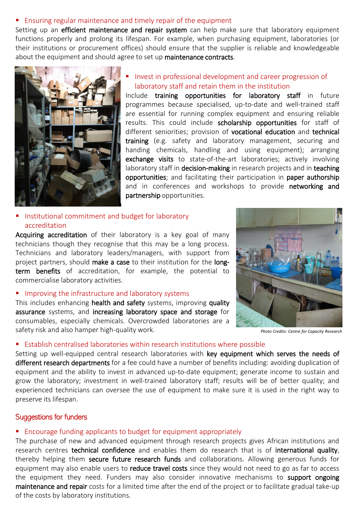#### ■ Ensuring regular maintenance and timely repair of the equipment

Setting up an efficient maintenance and repair system can help make sure that laboratory equipment functions properly and prolong its lifespan. For example, when purchasing equipment, laboratories (or their institutions or procurement offices) should ensure that the supplier is reliable and knowledgeable about the equipment and should agree to set up maintenance contracts.



Invest in professional development and career progression of laboratory staff and retain them in the institution

Include training opportunities for laboratory staff in future programmes because specialised, up-to-date and well-trained staff are essential for running complex equipment and ensuring reliable results. This could include scholarship opportunities for staff of different seniorities; provision of vocational education and technical training (e.g. safety and laboratory management, securing and handing chemicals, handling and using equipment); arranging exchange visits to state-of-the-art laboratories; actively involving laboratory staff in decision-making in research projects and in teaching opportunities; and facilitating their participation in paper authorship and in conferences and workshops to provide networking and partnership opportunities.

#### Institutional commitment and budget for laboratory accreditation

Acquiring accreditation of their laboratory is a key goal of many technicians though they recognise that this may be a long process. Technicians and laboratory leaders/managers, with support from project partners, should make a case to their institution for the longterm benefits of accreditation, for example, the potential to commercialise laboratory activities.

■ Improving the infrastructure and laboratory systems

This includes enhancing health and safety systems, improving quality assurance systems, and increasing laboratory space and storage for consumables, especially chemicals. Overcrowded laboratories are a safety risk and also hamper high-quality work.

## ■ Establish centralised laboratories within research institutions where possible

Setting up well-equipped central research laboratories with key equipment which serves the needs of different research departments for a fee could have a number of benefits including: avoiding duplication of equipment and the ability to invest in advanced up-to-date equipment; generate income to sustain and grow the laboratory; investment in well-trained laboratory staff; results will be of better quality; and experienced technicians can oversee the use of equipment to make sure it is used in the right way to preserve its lifespan.

## Suggestions for funders

# ■ Encourage funding applicants to budget for equipment appropriately

The purchase of new and advanced equipment through research projects gives African institutions and research centres technical confidence and enables them do research that is of international quality, thereby helping them secure future research funds and collaborations. Allowing generous funds for equipment may also enable users to reduce travel costs since they would not need to go as far to access the equipment they need. Funders may also consider innovative mechanisms to support ongoing maintenance and repair costs for a limited time after the end of the project or to facilitate gradual take-up of the costs by laboratory institutions.



*Photo Credits: Centre for Capacity Research*